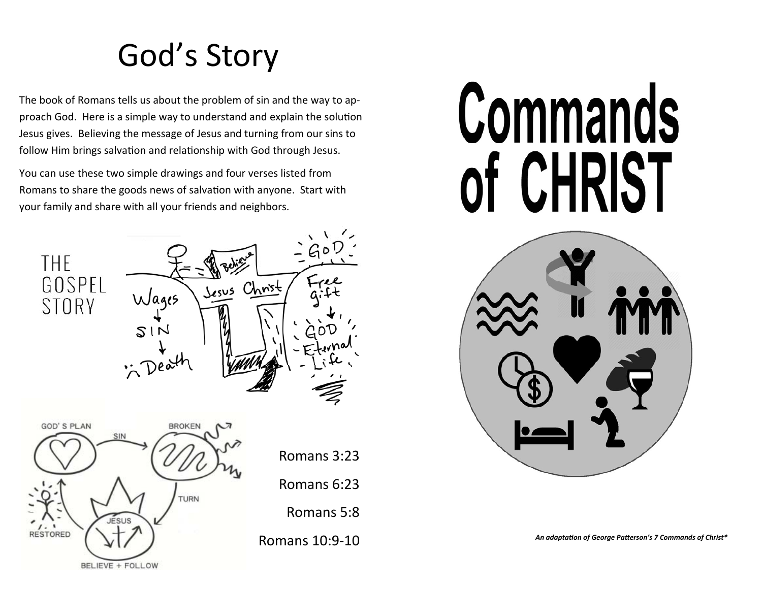# God's Story

The book of Romans tells us about the problem of sin and the way to approach God. Here is a simple way to understand and explain the solution Jesus gives. Believing the message of Jesus and turning from our sins to follow Him brings salvation and relationship with God through Jesus.

You can use these two simple drawings and four verses listed from Romans to share the goods news of salvation with anyone. Start with your family and share with all your friends and neighbors.





# **Commands** of CHRIST



*An adaptaƟon of George PaƩerson's 7 Commands of Christ\**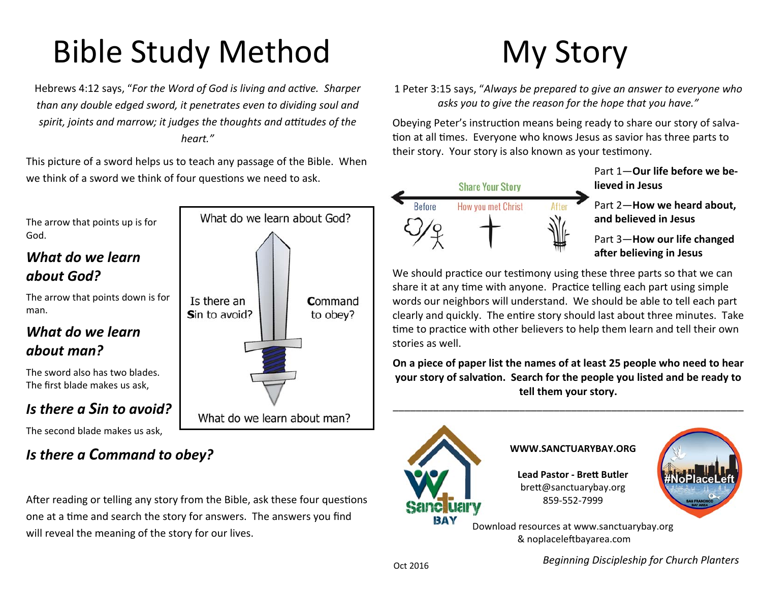# Bible Study Method

Hebrews 4:12 says, "For the Word of God is living and active. Sharper *than any double edged sword, it penetrates even to dividing soul and*  spirit, joints and marrow; it judges the thoughts and attitudes of the *heart."* 

This picture of a sword helps us to teach any passage of the Bible. When we think of a sword we think of four questions we need to ask.



## *Is there a Command to obey?*

After reading or telling any story from the Bible, ask these four questions one at a time and search the story for answers. The answers you find will reveal the meaning of the story for our lives.

# My Story

1 Peter 3:15 says, "*Always be prepared to give an answer to everyone who asks you to give the reason for the hope that you have."*

Obeying Peter's instruction means being ready to share our story of salvation at all times. Everyone who knows Jesus as savior has three parts to their story. Your story is also known as your testimony.



Part 1—**Our life before we believed in Jesus**

Part 2—**How we heard about, and believed in Jesus**

Part 3—**How our life changed**  after believing in Jesus

We should practice our testimony using these three parts so that we can share it at any time with anyone. Practice telling each part using simple words our neighbors will understand. We should be able to tell each part clearly and quickly. The entire story should last about three minutes. Take time to practice with other believers to help them learn and tell their own stories as well.

**On a piece of paper list the names of at least 25 people who need to hear your story of salvation. Search for the people you listed and be ready to tell them your story.** 

\_\_\_\_\_\_\_\_\_\_\_\_\_\_\_\_\_\_\_\_\_\_\_\_\_\_\_\_\_\_\_\_\_\_\_\_\_\_\_\_\_\_\_\_\_\_\_\_\_\_\_\_\_\_\_\_\_\_\_\_\_



*Beginning Discipleship for Church Planters*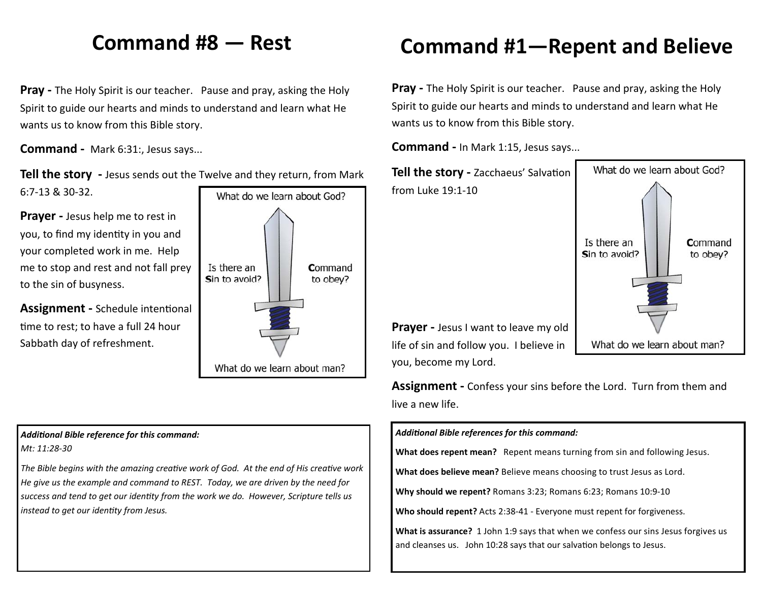#### **Command #8 — Rest**

**Pray -** The Holy Spirit is our teacher. Pause and pray, asking the Holy Spirit to guide our hearts and minds to understand and learn what He wants us to know from this Bible story.

**Command -**  Mark 6:31:, Jesus says...

**Tell the story** - Jesus sends out the Twelve and they return, from Mark 6:7-13 & 30-32.

**Prayer -** Jesus help me to rest in you, to find my identity in you and your completed work in me. Help me to stop and rest and not fall prey to the sin of busyness.

**Assignment - Schedule intentional** time to rest; to have a full 24 hour Sabbath day of refreshment.



#### *AddiƟonal Bible reference for this command:*

*Mt: 11:28‐30* 

The Bible begins with the amazing creative work of God. At the end of His creative work *He give us the example and command to REST. Today, we are driven by the need for success and tend to get our idenƟty from the work we do. However, Scripture tells us instead to get our idenƟty from Jesus.* 

# **Command #1—Repent and Believe**

**Pray -** The Holy Spirit is our teacher. Pause and pray, asking the Holy Spirit to guide our hearts and minds to understand and learn what He wants us to know from this Bible story.

**Command -** In Mark 1:15, Jesus says...



Prayer - Jesus I want to leave my old life of sin and follow you. I believe in you, become my Lord.

**Assignment -** Confess your sins before the Lord. Turn from them and live a new life.

*AddiƟonal Bible references for this command:* 

**What does repent mean?** Repent means turning from sin and following Jesus.

**What does believe mean?** Believe means choosing to trust Jesus as Lord.

**Why should we repent?** Romans 3:23; Romans 6:23; Romans 10:9-10

**Who should repent?** Acts 2:38-41 - Everyone must repent for forgiveness.

**What is assurance?** 1 John 1:9 says that when we confess our sins Jesus forgives us and cleanses us. John 10:28 says that our salvation belongs to Jesus.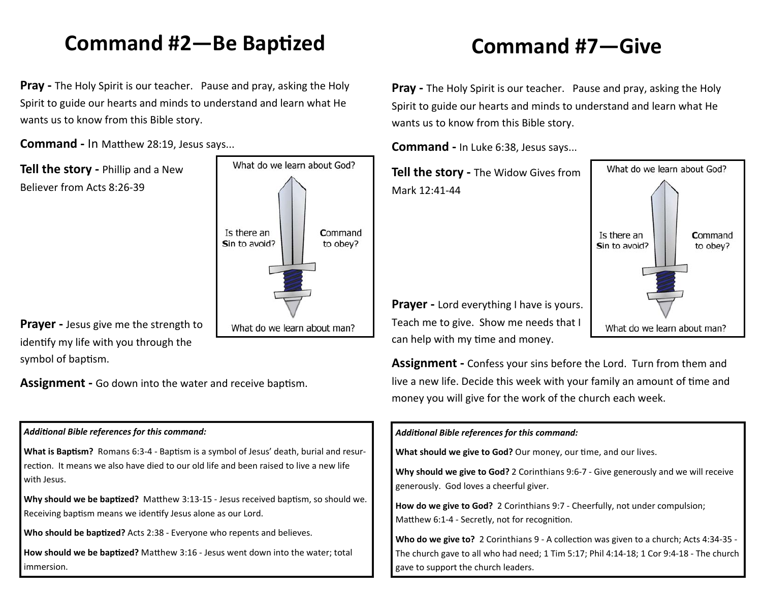#### **Command #2—Be BapƟzed**

**Pray -** The Holy Spirit is our teacher. Pause and pray, asking the Holy Spirit to guide our hearts and minds to understand and learn what He wants us to know from this Bible story.

**Command - In Matthew 28:19, Jesus says...** 

**Tell the story -** Phillip and a New Believer from Acts 8:26-39



**Prayer -** Jesus give me the strength to identify my life with you through the symbol of baptism.

**Assignment - Go down into the water and receive baptism.** 

#### *AddiƟonal Bible references for this command:*

What is Baptism? Romans 6:3-4 - Baptism is a symbol of Jesus' death, burial and resurrection. It means we also have died to our old life and been raised to live a new life with Jesus.

**Why should we be baptized?** Matthew 3:13-15 - Jesus received baptism, so should we. Receiving baptism means we identify Jesus alone as our Lord.

Who should be baptized? Acts 2:38 - Everyone who repents and believes.

How should we be baptized? Matthew 3:16 - Jesus went down into the water; total immersion.

## **Command #7—Give**

**Pray -** The Holy Spirit is our teacher. Pause and pray, asking the Holy Spirit to guide our hearts and minds to understand and learn what He wants us to know from this Bible story.

**Command -** In Luke 6:38, Jesus says...

**Tell the story -** The Widow Gives from Mark 12:41-44

**Prayer -** Lord everything I have is yours. Teach me to give. Show me needs that I can help with my time and money.

**Assignment -** Confess your sins before the Lord. Turn from them and live a new life. Decide this week with your family an amount of time and money you will give for the work of the church each week.

#### *AddiƟonal Bible references for this command:*

**What should we give to God?** Our money, our time, and our lives.

**Why should we give to God?** 2 Corinthians 9:6-7 - Give generously and we will receive generously. God loves a cheerful giver.

**How do we give to God?** 2 Corinthians 9:7 - Cheerfully, not under compulsion; Matthew 6:1-4 - Secretly, not for recognition.

**Who do we give to?** 2 Corinthians 9 - A collection was given to a church; Acts 4:34-35 -The church gave to all who had need; 1 Tim 5:17; Phil 4:14-18; 1 Cor 9:4-18 - The church gave to support the church leaders.

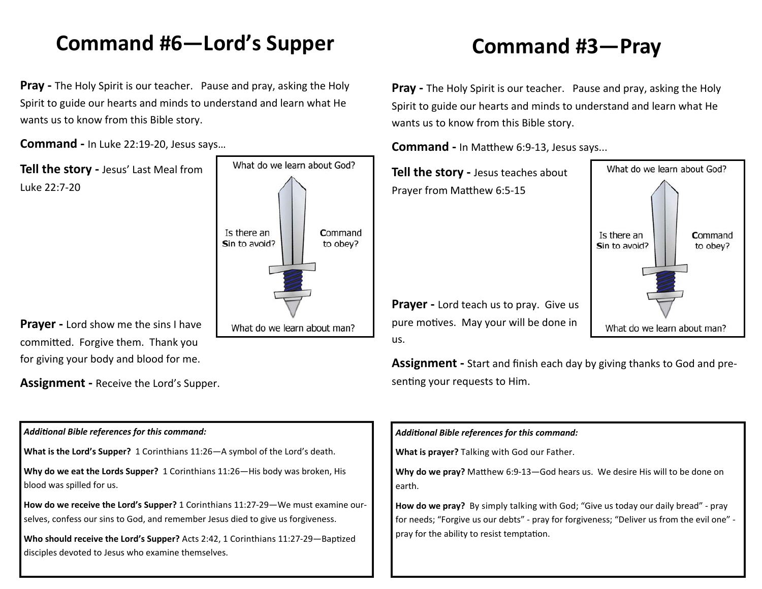### **Command #6—Lord's Supper**

**Pray -** The Holy Spirit is our teacher. Pause and pray, asking the Holy Spirit to guide our hearts and minds to understand and learn what He wants us to know from this Bible story.

**Command -** In Luke 22:19-20, Jesus says…

**Tell the story -** Jesus' Last Meal from Luke 22:7-20



**Prayer -** Lord show me the sins I have committed. Forgive them. Thank you for giving your body and blood for me.

**Assignment -** Receive the Lord's Supper.

## **Command #3—Pray**

**Pray -** The Holy Spirit is our teacher. Pause and pray, asking the Holy Spirit to guide our hearts and minds to understand and learn what He wants us to know from this Bible story.

What do we learn about God?

What do we learn about man?

Command

to obev?

**Command - In Matthew 6:9-13, Jesus says...** 

**Tell the story -** Jesus teaches about Prayer from Matthew 6:5-15

**Prayer -** Lord teach us to pray. Give us pure motives. May your will be done in us.

**Assignment -** Start and finish each day by giving thanks to God and presenting your requests to Him.

#### *AddiƟonal Bible references for this command:*  **What is the Lord's Supper?** 1 Corinthians 11:26—A symbol of the Lord's death. **Why do we eat the Lords Supper?** 1 Corinthians 11:26—His body was broken, His blood was spilled for us.

**How do we receive the Lord's Supper?** 1 Corinthians 11:27-29—We must examine ourselves, confess our sins to God, and remember Jesus died to give us forgiveness.

Who should receive the Lord's Supper? Acts 2:42, 1 Corinthians 11:27-29—Baptized disciples devoted to Jesus who examine themselves.

#### *AddiƟonal Bible references for this command:*

**What is prayer?** Talking with God our Father.

**Why do we pray?** Matthew 6:9-13-God hears us. We desire His will to be done on earth.

**How do we pray?** By simply talking with God; "Give us today our daily bread" - pray for needs; "Forgive us our debts" - pray for forgiveness; "Deliver us from the evil one" pray for the ability to resist temptation.

Is there an Sin to avoid?